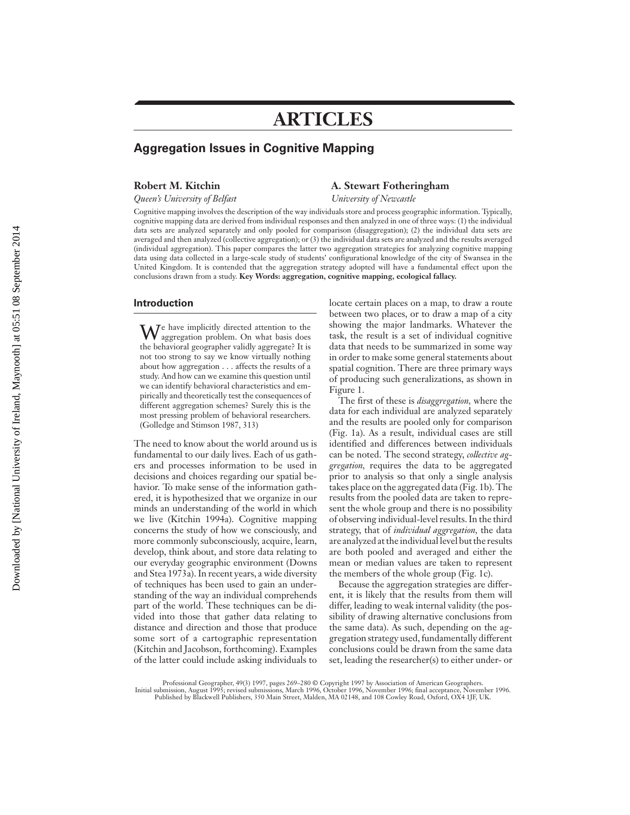# **ARTICLES**

# **Aggregation Issues in Cognitive Mapping**

#### *Queen's University of Belfast University of Newcastle*

## **Robert M. Kitchin M. Stewart Fotheringham**

Cognitive mapping involves the description of the way individuals store and process geographic information. Typically, cognitive mapping data are derived from individual responses and then analyzed in one of three ways: (1) the individual data sets are analyzed separately and only pooled for comparison (disaggregation); (2) the individual data sets are averaged and then analyzed (collective aggregation); or (3) the individual data sets are analyzed and the results averaged (individual aggregation). This paper compares the latter two aggregation strategies for analyzing cognitive mapping data using data collected in a large-scale study of students' configurational knowledge of the city of Swansea in the United Kingdom. It is contended that the aggregation strategy adopted will have a fundamental effect upon the conclusions drawn from a study. **Key Words: aggregation, cognitive mapping, ecological fallacy.**

#### **Introduction**

We have implicitly directed attention to the aggregation problem. On what basis does the behavioral geographer validly aggregate? It is not too strong to say we know virtually nothing about how aggregation . . . affects the results of a study. And how can we examine this question until we can identify behavioral characteristics and empirically and theoretically test the consequences of different aggregation schemes? Surely this is the most pressing problem of behavioral researchers. (Golledge and Stimson 1987, 313)

The need to know about the world around us is fundamental to our daily lives. Each of us gathers and processes information to be used in decisions and choices regarding our spatial behavior. To make sense of the information gathered, it is hypothesized that we organize in our minds an understanding of the world in which we live (Kitchin 1994a). Cognitive mapping concerns the study of how we consciously, and more commonly subconsciously, acquire, learn, develop, think about, and store data relating to our everyday geographic environment (Downs and Stea 1973a). In recent years, a wide diversity of techniques has been used to gain an understanding of the way an individual comprehends part of the world. These techniques can be divided into those that gather data relating to distance and direction and those that produce some sort of a cartographic representation (Kitchin and Jacobson, forthcoming). Examples of the latter could include asking individuals to locate certain places on a map, to draw a route between two places, or to draw a map of a city showing the major landmarks. Whatever the task, the result is a set of individual cognitive data that needs to be summarized in some way in order to make some general statements about spatial cognition. There are three primary ways of producing such generalizations, as shown in Figure 1.

The first of these is *disaggregation,* where the data for each individual are analyzed separately and the results are pooled only for comparison (Fig. 1a). As a result, individual cases are still identified and differences between individuals can be noted. The second strategy, *collective aggregation,* requires the data to be aggregated prior to analysis so that only a single analysis takes place on the aggregated data (Fig. 1b). The results from the pooled data are taken to represent the whole group and there is no possibility of observing individual-level results. In the third strategy, that of *individual aggregation,* the data are analyzed at the individual level but the results are both pooled and averaged and either the mean or median values are taken to represent the members of the whole group (Fig. 1c).

Because the aggregation strategies are different, it is likely that the results from them will differ, leading to weak internal validity (the possibility of drawing alternative conclusions from the same data). As such, depending on the aggregation strategy used, fundamentally different conclusions could be drawn from the same data set, leading the researcher(s) to either under- or

Professional Geographer, 49(3) 1997, pages 269–280 © Copyright 1997 by Association of American Geographers.<br>1996, Initial submission, August 1995; revised submissions, March 1996, October 1996, November 1996; final accepta Published by Blackwell Publishers, 350 Main Street, Malden, MA 02148, and 108 Cowley Road, Oxford, OX4 1JF, UK.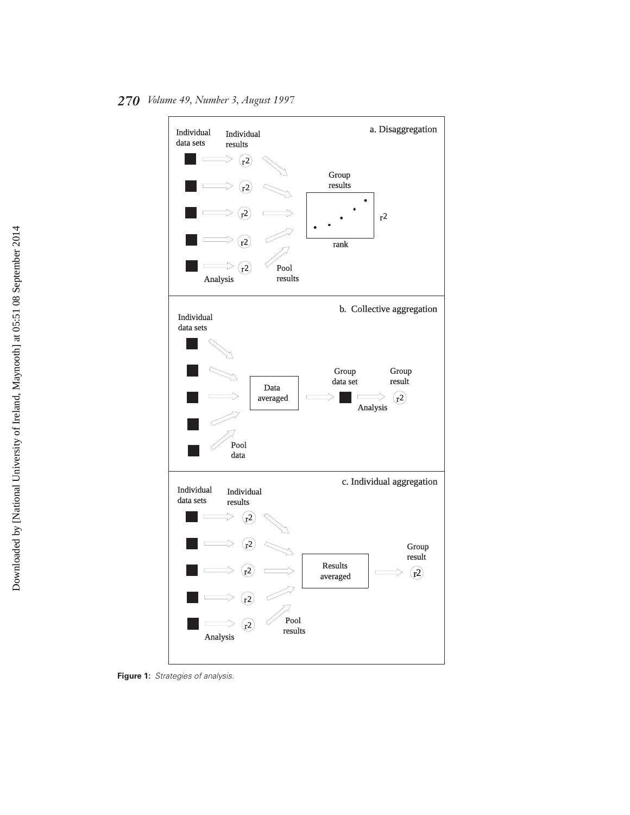

**Figure 1:** Strategies of analysis.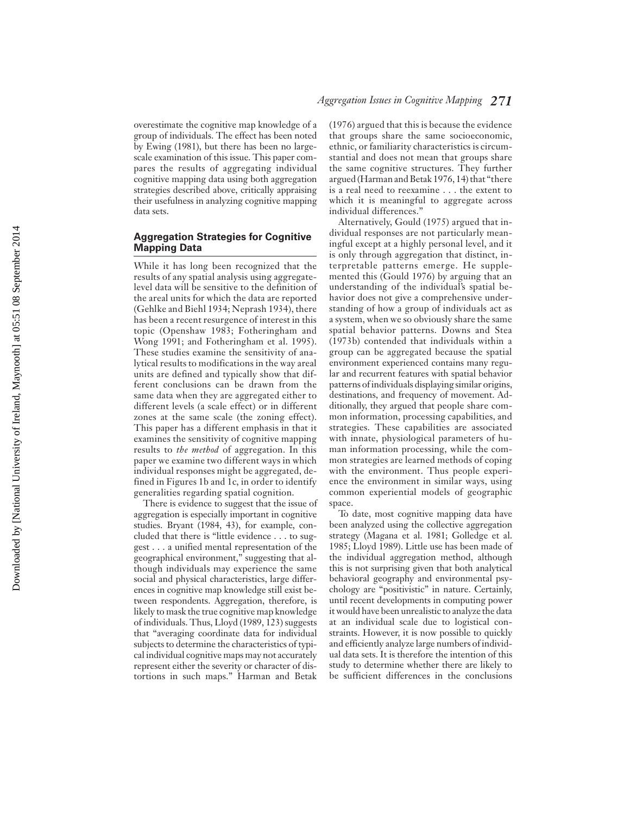overestimate the cognitive map knowledge of a group of individuals. The effect has been noted by Ewing (1981), but there has been no largescale examination of this issue. This paper compares the results of aggregating individual cognitive mapping data using both aggregation strategies described above, critically appraising their usefulness in analyzing cognitive mapping data sets.

# **Aggregation Strategies for Cognitive Mapping Data**

While it has long been recognized that the results of any spatial analysis using aggregatelevel data will be sensitive to the definition of the areal units for which the data are reported (Gehlke and Biehl 1934; Neprash 1934), there has been a recent resurgence of interest in this topic (Openshaw 1983; Fotheringham and Wong 1991; and Fotheringham et al. 1995). These studies examine the sensitivity of analytical results to modifications in the way areal units are defined and typically show that different conclusions can be drawn from the same data when they are aggregated either to different levels (a scale effect) or in different zones at the same scale (the zoning effect). This paper has a different emphasis in that it examines the sensitivity of cognitive mapping results to *the method* of aggregation. In this paper we examine two different ways in which individual responses might be aggregated, defined in Figures 1b and 1c, in order to identify generalities regarding spatial cognition.

There is evidence to suggest that the issue of aggregation is especially important in cognitive studies. Bryant (1984, 43), for example, concluded that there is "little evidence . . . to suggest . . . a unified mental representation of the geographical environment," suggesting that although individuals may experience the same social and physical characteristics, large differences in cognitive map knowledge still exist between respondents. Aggregation, therefore, is likely to mask the true cognitive map knowledge of individuals. Thus, Lloyd (1989, 123) suggests that "averaging coordinate data for individual subjects to determine the characteristics of typical individual cognitive maps may not accurately represent either the severity or character of distortions in such maps." Harman and Betak

(1976) argued that this is because the evidence that groups share the same socioeconomic, ethnic, or familiarity characteristics is circumstantial and does not mean that groups share the same cognitive structures. They further argued (Harman and Betak 1976, 14) that "there is a real need to reexamine . . . the extent to which it is meaningful to aggregate across individual differences."

Alternatively, Gould (1975) argued that individual responses are not particularly meaningful except at a highly personal level, and it is only through aggregation that distinct, interpretable patterns emerge. He supplemented this (Gould 1976) by arguing that an understanding of the individual's spatial behavior does not give a comprehensive understanding of how a group of individuals act as a system, when we so obviously share the same spatial behavior patterns. Downs and Stea (1973b) contended that individuals within a group can be aggregated because the spatial environment experienced contains many regular and recurrent features with spatial behavior patterns of individuals displaying similar origins, destinations, and frequency of movement. Additionally, they argued that people share common information, processing capabilities, and strategies. These capabilities are associated with innate, physiological parameters of human information processing, while the common strategies are learned methods of coping with the environment. Thus people experience the environment in similar ways, using common experiential models of geographic space.

To date, most cognitive mapping data have been analyzed using the collective aggregation strategy (Magana et al. 1981; Golledge et al. 1985; Lloyd 1989). Little use has been made of the individual aggregation method, although this is not surprising given that both analytical behavioral geography and environmental psychology are "positivistic" in nature. Certainly, until recent developments in computing power it would have been unrealistic to analyze the data at an individual scale due to logistical constraints. However, it is now possible to quickly and efficiently analyze large numbers of individual data sets. It is therefore the intention of this study to determine whether there are likely to be sufficient differences in the conclusions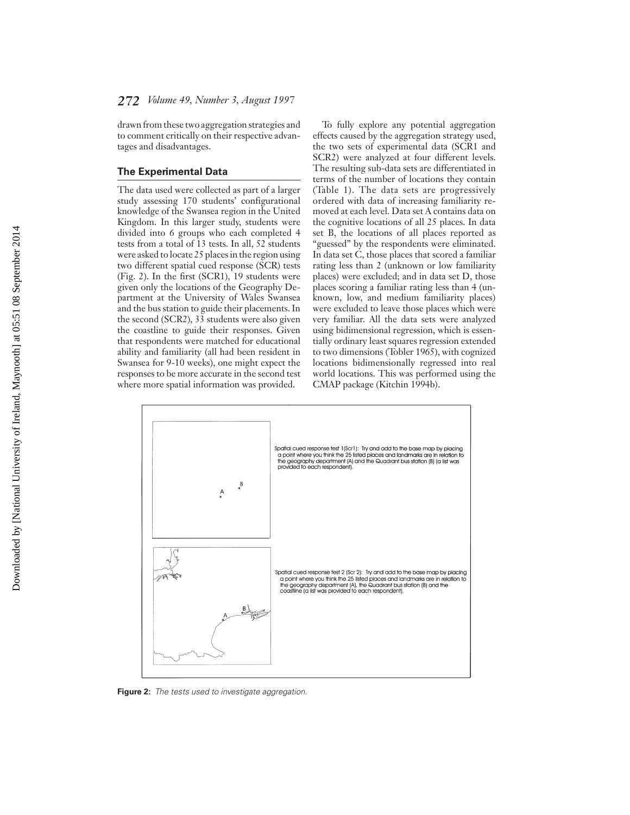drawn from these two aggregation strategies and to comment critically on their respective advantages and disadvantages.

# **The Experimental Data**

The data used were collected as part of a larger study assessing 170 students' configurational knowledge of the Swansea region in the United Kingdom. In this larger study, students were divided into 6 groups who each completed 4 tests from a total of 13 tests. In all, 52 students were asked to locate 25 places in the region using two different spatial cued response (SCR) tests (Fig. 2). In the first (SCR1), 19 students were given only the locations of the Geography Department at the University of Wales Swansea and the bus station to guide their placements. In the second (SCR2), 33 students were also given the coastline to guide their responses. Given that respondents were matched for educational ability and familiarity (all had been resident in Swansea for 9-10 weeks), one might expect the responses to be more accurate in the second test where more spatial information was provided.

To fully explore any potential aggregation effects caused by the aggregation strategy used, the two sets of experimental data (SCR1 and SCR2) were analyzed at four different levels. The resulting sub-data sets are differentiated in terms of the number of locations they contain (Table 1). The data sets are progressively ordered with data of increasing familiarity removed at each level. Data set A contains data on the cognitive locations of all 25 places. In data set B, the locations of all places reported as "guessed" by the respondents were eliminated. In data set C, those places that scored a familiar rating less than 2 (unknown or low familiarity places) were excluded; and in data set D, those places scoring a familiar rating less than 4 (unknown, low, and medium familiarity places) were excluded to leave those places which were very familiar. All the data sets were analyzed using bidimensional regression, which is essentially ordinary least squares regression extended to two dimensions (Tobler 1965), with cognized locations bidimensionally regressed into real world locations. This was performed using the CMAP package (Kitchin 1994b).



**Figure 2:** The tests used to investigate aggregation.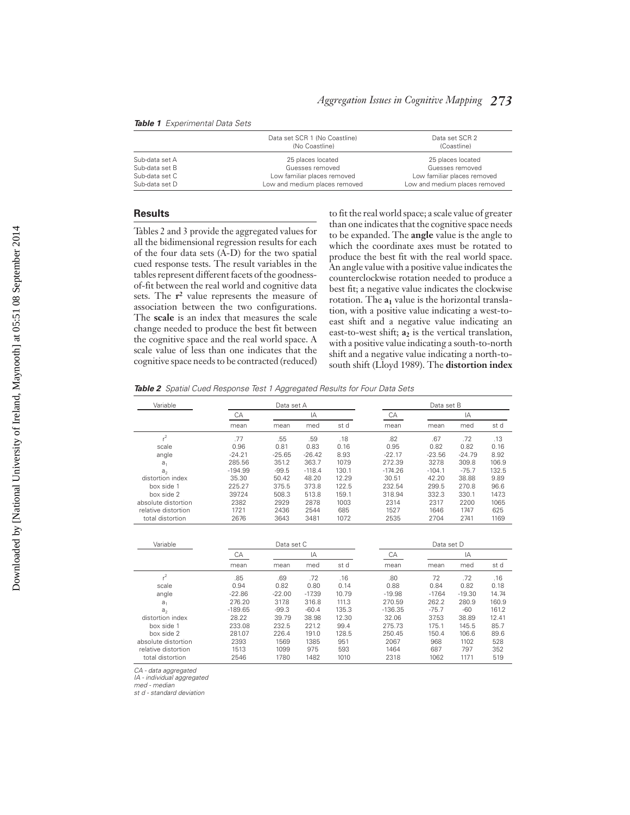|                | Data set SCR 1 (No Coastline)<br>(No Coastline) | Data set SCR 2<br>(Coastline) |  |  |  |
|----------------|-------------------------------------------------|-------------------------------|--|--|--|
| Sub-data set A | 25 places located                               | 25 places located             |  |  |  |
| Sub-data set B | Guesses removed                                 | Guesses removed               |  |  |  |
| Sub-data set C | Low familiar places removed                     | Low familiar places removed   |  |  |  |
| Sub-data set D | Low and medium places removed                   | Low and medium places removed |  |  |  |

### **Table 1** Experimental Data Sets

## **Results**

Tables 2 and 3 provide the aggregated values for all the bidimensional regression results for each of the four data sets (A-D) for the two spatial cued response tests. The result variables in the tables represent different facets of the goodnessof-fit between the real world and cognitive data sets. The r<sup>2</sup> value represents the measure of association between the two configurations. The **scale** is an index that measures the scale change needed to produce the best fit between the cognitive space and the real world space. A scale value of less than one indicates that the cognitive space needs to be contracted (reduced)

to fit the real world space; a scale value of greater than one indicates that the cognitive space needs to be expanded. The **angle** value is the angle to which the coordinate axes must be rotated to produce the best fit with the real world space. An angle value with a positive value indicates the counterclockwise rotation needed to produce a best fit; a negative value indicates the clockwise rotation. The  $a_1$  value is the horizontal translation, with a positive value indicating a west-toeast shift and a negative value indicating an east-to-west shift;  $a_2$  is the vertical translation, with a positive value indicating a south-to-north shift and a negative value indicating a north-tosouth shift (Lloyd 1989). The **distortion index**

**Table 2** Spatial Cued Response Test 1 Aggregated Results for Four Data Sets

| Variable            |           | Data set A |          |       |    | Data set B |          |          |       |  |
|---------------------|-----------|------------|----------|-------|----|------------|----------|----------|-------|--|
|                     | CA        | IA         |          |       | CА |            | IA       |          |       |  |
|                     | mean      | mean       | med      | st d  |    | mean       | mean     | med      | st d  |  |
| $^2$                | .77       | .55        | .59      | .18   |    | .82        | .67      | .72      | .13   |  |
| scale               | 0.96      | 0.81       | 0.83     | 0.16  |    | 0.95       | 0.82     | 0.82     | 0.16  |  |
| angle               | $-24.21$  | $-25.65$   | $-26.42$ | 8.93  |    | $-22.17$   | $-23.56$ | $-24.79$ | 8.92  |  |
| $a_1$               | 285.56    | 351.2      | 363.7    | 107.9 |    | 272.39     | 327.8    | 309.8    | 106.9 |  |
| a,                  | $-194.99$ | $-99.5$    | $-118.4$ | 130.1 |    | $-174.26$  | $-104.1$ | $-75.7$  | 132.5 |  |
| distortion index    | 35.30     | 50.42      | 48.20    | 12.29 |    | 30.51      | 42.20    | 38.88    | 9.89  |  |
| box side 1          | 225.27    | 375.5      | 373.8    | 122.5 |    | 232.54     | 299.5    | 270.8    | 96.6  |  |
| box side 2          | 39724     | 508.3      | 513.8    | 159.1 |    | 318.94     | 332.3    | 330.1    | 1473  |  |
| absolute distortion | 2382      | 2929       | 2878     | 1003  |    | 2314       | 2317     | 2200     | 1065  |  |
| relative distortion | 1721      | 2436       | 2544     | 685   |    | 1527       | 1646     | 1747     | 625   |  |
| total distortion    | 2676      | 3643       | 3481     | 1072  |    | 2535       | 2704     | 2741     | 1169  |  |

| Variable            |           | Data set C |          |       |           | Data set D |          |       |  |  |
|---------------------|-----------|------------|----------|-------|-----------|------------|----------|-------|--|--|
|                     | CA        | IA         |          | CА    |           | IA         |          |       |  |  |
|                     | mean      | mean       | med      | st d  | mean      | mean       | med      | st d  |  |  |
| $\mathcal{L}$       | .85       | .69        | .72      | .16   | .80       | 72         | .72      | .16   |  |  |
| scale               | 0.94      | 0.82       | 0.80     | 0.14  | 0.88      | 0.84       | 0.82     | 0.18  |  |  |
| angle               | $-22.86$  | $-22.00$   | $-17.39$ | 10.79 | $-19.98$  | $-17.64$   | $-19.30$ | 14.74 |  |  |
| $a_1$               | 276.20    | 317.8      | 316.8    | 111.3 | 270.59    | 262.2      | 280.9    | 160.9 |  |  |
| a <sub>2</sub>      | $-189.65$ | $-99.3$    | $-60.4$  | 135.3 | $-136.35$ | $-75.7$    | $-60$    | 161.2 |  |  |
| distortion index    | 28.22     | 39.79      | 38.98    | 12.30 | 32.06     | 37.53      | 38.89    | 12.41 |  |  |
| box side 1          | 233.08    | 232.5      | 221.2    | 99.4  | 275.73    | 175.1      | 145.5    | 85.7  |  |  |
| box side 2          | 281.07    | 226.4      | 191.0    | 128.5 | 250.45    | 150.4      | 106.6    | 89.6  |  |  |
| absolute distortion | 2393      | 1569       | 1385     | 951   | 2067      | 968        | 1102     | 528   |  |  |
| relative distortion | 1513      | 1099       | 975      | 593   | 1464      | 687        | 797      | 352   |  |  |
| total distortion    | 2546      | 1780       | 1482     | 1010  | 2318      | 1062       | 1171     | 519   |  |  |

CA - data aggregated

IA - individual aggregated

med - median

st d - standard deviation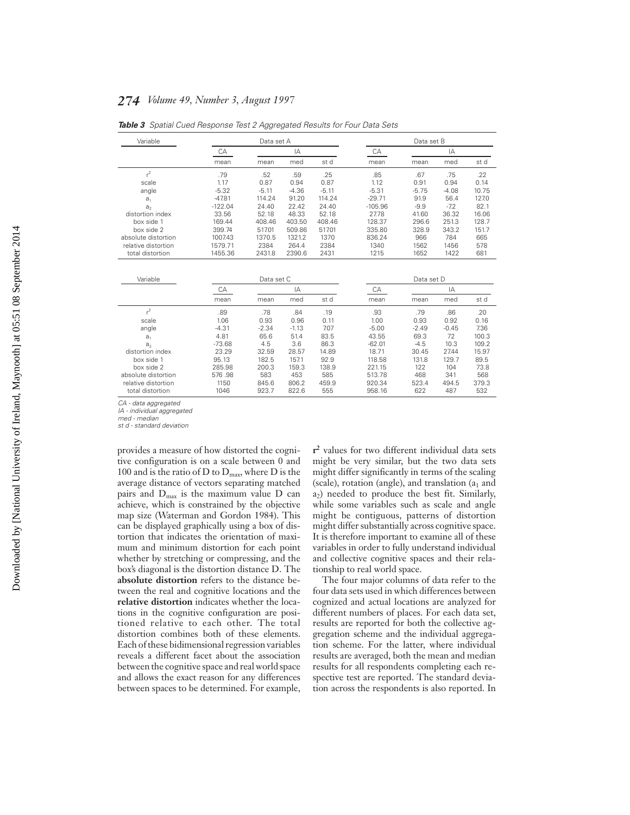### *274 Volume 49, Number 3, August 1997*

| Variable            | Data set A |            |         |         | Data set B |           |            |         |       |  |
|---------------------|------------|------------|---------|---------|------------|-----------|------------|---------|-------|--|
|                     | CA         |            | IA      |         |            | CA        |            | IA      |       |  |
|                     | mean       | mean       | med     | st d    |            | mean      | mean       | med     | st d  |  |
| $r^2$               | .79        | .52        | .59     | .25     |            | .85       | .67        | .75     | .22   |  |
| scale               | 1.17       | 0.87       | 0.94    | 0.87    |            | 1.12      | 0.91       | 0.94    | 0.14  |  |
| angle               | $-5.32$    | $-5.11$    | $-4.36$ | $-5.11$ |            | $-5.31$   | $-5.75$    | $-4.08$ | 10.75 |  |
| $a_1$               | $-47.81$   | 114.24     | 91.20   | 114.24  |            | $-29.71$  | 91.9       | 56.4    | 127.0 |  |
| a <sub>2</sub>      | $-122.04$  | 24.40      | 22.42   | 24.40   |            | $-105.96$ | $-9.9$     | $-7.2$  | 82.1  |  |
| distortion index    | 33.56      | 52.18      | 48.33   | 52.18   |            | 27.78     | 41.60      | 36.32   | 16.06 |  |
| box side 1          | 169.44     | 408.46     | 403.50  | 408.46  |            | 128.37    | 296.6      | 251.3   | 128.7 |  |
| box side 2          | 399.74     | 517.01     | 509.86  | 517.01  |            | 335.80    | 328.9      | 343.2   | 151.7 |  |
| absolute distortion | 1007.43    | 1370.5     | 1321.2  | 1370    |            | 836.24    | 966        | 784     | 665   |  |
| relative distortion | 1579.71    | 2384       | 264.4   | 2384    |            | 1340      | 1562       | 1456    | 578   |  |
| total distortion    | 1455.36    | 2431.8     | 2390.6  | 2431    |            | 1215      | 1652       | 1422    | 681   |  |
|                     |            |            |         |         |            |           |            |         |       |  |
| Variable            |            | Data set C |         |         |            |           | Data set D |         |       |  |
|                     | CA         | IA         |         |         |            | CA<br>IA  |            |         |       |  |
|                     | mean       | mean       | med     | st d    |            | mean      | mean       | med     | st d  |  |
| $r^2$               | .89        | .78        | .84     | .19     |            | .93       | .79        | .86     | .20   |  |
| scale               | 1.06       | 0.93       | 0.96    | 0.11    |            | 1.00      | 0.93       | 0.92    | 0.16  |  |
| angle               | $-4.31$    | $-2.34$    | $-1.13$ | 7.07    |            | $-5.00$   | $-2.49$    | $-0.45$ | 7.36  |  |
| $a_1$               | 4.81       | 65.6       | 51.4    | 83.5    |            | 43.55     | 69.3       | 72      | 100.3 |  |
| a <sub>2</sub>      | $-73.68$   | 4.5        | 3.6     | 86.3    |            | $-62.01$  | $-4.5$     | 10.3    | 109.2 |  |
| distortion index    | 23.29      | 32.59      | 28.57   | 14.89   |            | 18.71     | 30.45      | 27.44   | 15.97 |  |
| box side 1          | 95.13      | 182.5      | 157.1   | 92.9    |            | 118.58    | 131.8      | 129.7   | 89.5  |  |
| box side 2          | 285.98     | 200.3      | 159.3   | 138.9   |            | 221.15    | 122        | 104     | 73.8  |  |
| absolute distortion | 576.98     | 583        | 453     | 585     |            | 513.78    | 468        | 341     | 568   |  |
| relative distortion | 1150       | 845.6      | 806.2   | 459.9   |            | 920.34    | 523.4      | 494.5   | 379.3 |  |
| total distortion    | 1046       | 923.7      | 822.6   | 555     |            | 958.16    | 622        | 487     | 532   |  |

**Table 3** Spatial Cued Response Test 2 Aggregated Results for Four Data Sets

CA - data aggregated IA - individual aggregated

med - median st d - standard deviation

provides a measure of how distorted the cognitive configuration is on a scale between 0 and 100 and is the ratio of D to  $D_{\text{max}}$ , where D is the average distance of vectors separating matched pairs and  $D_{\text{max}}$  is the maximum value D can achieve, which is constrained by the objective map size (Waterman and Gordon 1984). This can be displayed graphically using a box of distortion that indicates the orientation of maximum and minimum distortion for each point whether by stretching or compressing, and the box's diagonal is the distortion distance D. The **absolute distortion** refers to the distance between the real and cognitive locations and the **relative distortion** indicates whether the locations in the cognitive configuration are positioned relative to each other. The total distortion combines both of these elements. Each of these bidimensional regression variables reveals a different facet about the association between the cognitive space and real world space and allows the exact reason for any differences between spaces to be determined. For example,

**r2** values for two different individual data sets might be very similar, but the two data sets might differ significantly in terms of the scaling (scale), rotation (angle), and translation ( $a_1$  and a2) needed to produce the best fit. Similarly, while some variables such as scale and angle might be contiguous, patterns of distortion might differ substantially across cognitive space. It is therefore important to examine all of these variables in order to fully understand individual and collective cognitive spaces and their relationship to real world space.

The four major columns of data refer to the four data sets used in which differences between cognized and actual locations are analyzed for different numbers of places. For each data set, results are reported for both the collective aggregation scheme and the individual aggregation scheme. For the latter, where individual results are averaged, both the mean and median results for all respondents completing each respective test are reported. The standard deviation across the respondents is also reported. In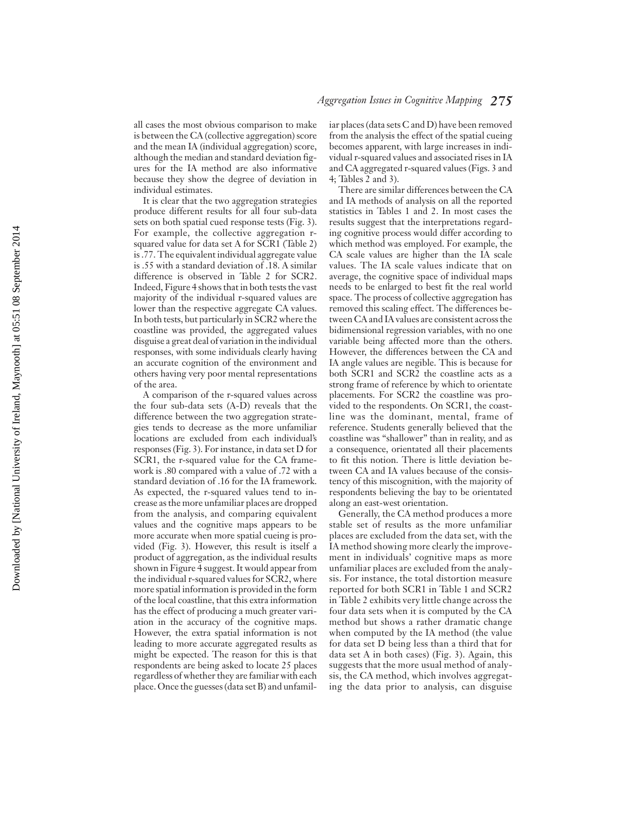although the median and standard deviation figures for the IA method are also informative because they show the degree of deviation in individual estimates.

It is clear that the two aggregation strategies produce different results for all four sub-data sets on both spatial cued response tests (Fig. 3). For example, the collective aggregation rsquared value for data set A for SCR1 (Table 2) is .77. The equivalent individual aggregate value is .55 with a standard deviation of .18. A similar difference is observed in Table 2 for SCR2. Indeed, Figure 4 shows that in both tests the vast majority of the individual r-squared values are lower than the respective aggregate CA values. In both tests, but particularly in SCR2 where the coastline was provided, the aggregated values disguise a great deal of variation in the individual responses, with some individuals clearly having an accurate cognition of the environment and others having very poor mental representations of the area.

A comparison of the r-squared values across the four sub-data sets (A-D) reveals that the difference between the two aggregation strategies tends to decrease as the more unfamiliar locations are excluded from each individual's responses (Fig. 3). For instance, in data set D for SCR1, the r-squared value for the CA framework is .80 compared with a value of .72 with a standard deviation of .16 for the IA framework. As expected, the r-squared values tend to increase as the more unfamiliar places are dropped from the analysis, and comparing equivalent values and the cognitive maps appears to be more accurate when more spatial cueing is provided (Fig. 3). However, this result is itself a product of aggregation, as the individual results shown in Figure 4 suggest. It would appear from the individual r-squared values for SCR2, where more spatial information is provided in the form of the local coastline, that this extra information has the effect of producing a much greater variation in the accuracy of the cognitive maps. However, the extra spatial information is not leading to more accurate aggregated results as might be expected. The reason for this is that respondents are being asked to locate 25 places regardless of whether they are familiar with each place. Once the guesses (data set B) and unfamil-

iar places (data sets C and D) have been removed from the analysis the effect of the spatial cueing becomes apparent, with large increases in individual r-squared values and associated rises in IA and CA aggregated r-squared values (Figs. 3 and 4; Tables 2 and 3).

There are similar differences between the CA and IA methods of analysis on all the reported statistics in Tables 1 and 2. In most cases the results suggest that the interpretations regarding cognitive process would differ according to which method was employed. For example, the CA scale values are higher than the IA scale values. The IA scale values indicate that on average, the cognitive space of individual maps needs to be enlarged to best fit the real world space. The process of collective aggregation has removed this scaling effect. The differences between CA and IA values are consistent across the bidimensional regression variables, with no one variable being affected more than the others. However, the differences between the CA and IA angle values are negible. This is because for both SCR1 and SCR2 the coastline acts as a strong frame of reference by which to orientate placements. For SCR2 the coastline was provided to the respondents. On SCR1, the coastline was the dominant, mental, frame of reference. Students generally believed that the coastline was "shallower" than in reality, and as a consequence, orientated all their placements to fit this notion. There is little deviation between CA and IA values because of the consistency of this miscognition, with the majority of respondents believing the bay to be orientated along an east-west orientation.

Generally, the CA method produces a more stable set of results as the more unfamiliar places are excluded from the data set, with the IA method showing more clearly the improvement in individuals' cognitive maps as more unfamiliar places are excluded from the analysis. For instance, the total distortion measure reported for both SCR1 in Table 1 and SCR2 in Table 2 exhibits very little change across the four data sets when it is computed by the CA method but shows a rather dramatic change when computed by the IA method (the value for data set D being less than a third that for data set A in both cases) (Fig. 3). Again, this suggests that the more usual method of analysis, the CA method, which involves aggregating the data prior to analysis, can disguise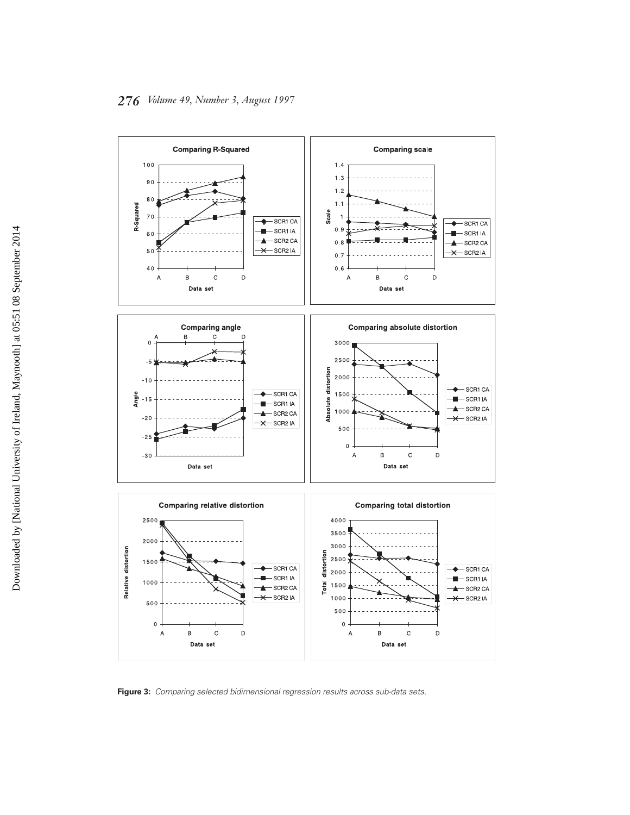

Figure 3: Comparing selected bidimensional regression results across sub-data sets.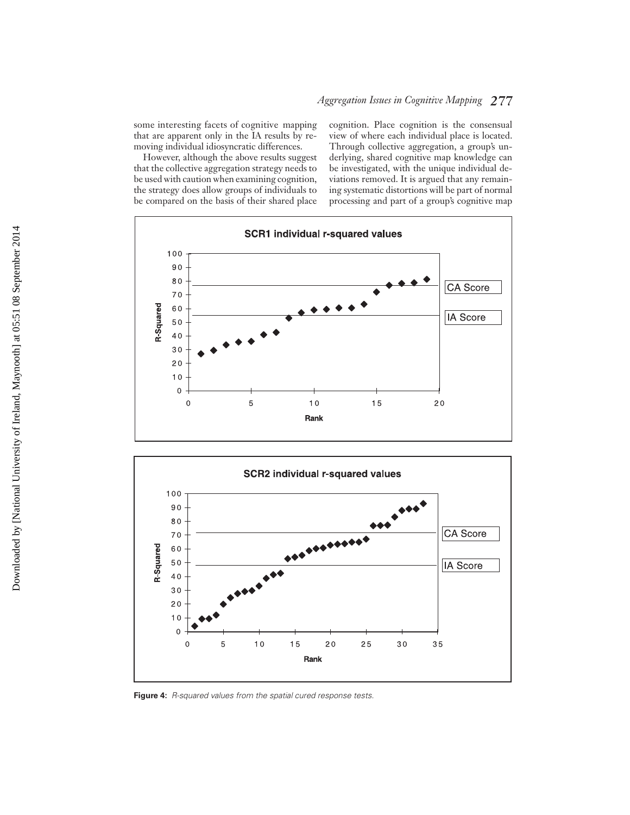some interesting facets of cognitive mapping that are apparent only in the IA results by removing individual idiosyncratic differences.

However, although the above results suggest that the collective aggregation strategy needs to be used with caution when examining cognition, the strategy does allow groups of individuals to be compared on the basis of their shared place

cognition. Place cognition is the consensual view of where each individual place is located. Through collective aggregation, a group's underlying, shared cognitive map knowledge can be investigated, with the unique individual deviations removed. It is argued that any remaining systematic distortions will be part of normal processing and part of a group's cognitive map





Figure 4: R-squared values from the spatial cured response tests.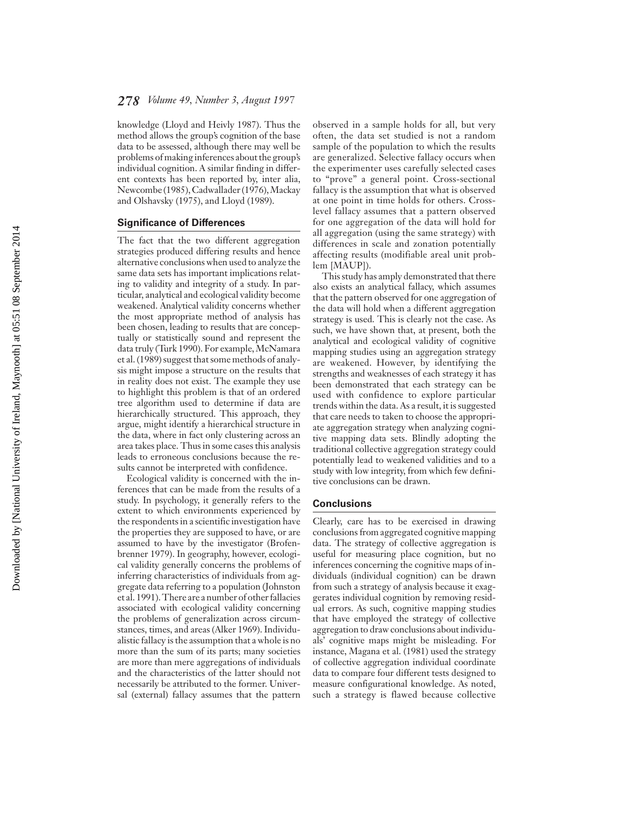knowledge (Lloyd and Heivly 1987). Thus the method allows the group's cognition of the base data to be assessed, although there may well be problems of making inferences about the group's individual cognition. A similar finding in different contexts has been reported by, inter alia, Newcombe (1985), Cadwallader (1976), Mackay and Olshavsky (1975), and Lloyd (1989).

### **Significance of Differences**

The fact that the two different aggregation strategies produced differing results and hence alternative conclusions when used to analyze the same data sets has important implications relating to validity and integrity of a study. In particular, analytical and ecological validity become weakened. Analytical validity concerns whether the most appropriate method of analysis has been chosen, leading to results that are conceptually or statistically sound and represent the data truly (Turk 1990). For example, McNamara et al. (1989) suggest that some methods of analysis might impose a structure on the results that in reality does not exist. The example they use to highlight this problem is that of an ordered tree algorithm used to determine if data are hierarchically structured. This approach, they argue, might identify a hierarchical structure in the data, where in fact only clustering across an area takes place. Thus in some cases this analysis leads to erroneous conclusions because the results cannot be interpreted with confidence.

Ecological validity is concerned with the inferences that can be made from the results of a study. In psychology, it generally refers to the extent to which environments experienced by the respondents in a scientific investigation have the properties they are supposed to have, or are assumed to have by the investigator (Brofenbrenner 1979). In geography, however, ecological validity generally concerns the problems of inferring characteristics of individuals from aggregate data referring to a population (Johnston et al. 1991). There are a number of other fallacies associated with ecological validity concerning the problems of generalization across circumstances, times, and areas (Alker 1969). Individualistic fallacy is the assumption that a whole is no more than the sum of its parts; many societies are more than mere aggregations of individuals and the characteristics of the latter should not necessarily be attributed to the former. Universal (external) fallacy assumes that the pattern

observed in a sample holds for all, but very often, the data set studied is not a random sample of the population to which the results are generalized. Selective fallacy occurs when the experimenter uses carefully selected cases to "prove" a general point. Cross-sectional fallacy is the assumption that what is observed at one point in time holds for others. Crosslevel fallacy assumes that a pattern observed for one aggregation of the data will hold for all aggregation (using the same strategy) with differences in scale and zonation potentially affecting results (modifiable areal unit problem [MAUP]).

This study has amply demonstrated that there also exists an analytical fallacy, which assumes that the pattern observed for one aggregation of the data will hold when a different aggregation strategy is used. This is clearly not the case. As such, we have shown that, at present, both the analytical and ecological validity of cognitive mapping studies using an aggregation strategy are weakened. However, by identifying the strengths and weaknesses of each strategy it has been demonstrated that each strategy can be used with confidence to explore particular trends within the data. As a result, it is suggested that care needs to taken to choose the appropriate aggregation strategy when analyzing cognitive mapping data sets. Blindly adopting the traditional collective aggregation strategy could potentially lead to weakened validities and to a study with low integrity, from which few definitive conclusions can be drawn.

### **Conclusions**

Clearly, care has to be exercised in drawing conclusions from aggregated cognitive mapping data. The strategy of collective aggregation is useful for measuring place cognition, but no inferences concerning the cognitive maps of individuals (individual cognition) can be drawn from such a strategy of analysis because it exaggerates individual cognition by removing residual errors. As such, cognitive mapping studies that have employed the strategy of collective aggregation to draw conclusions about individuals' cognitive maps might be misleading. For instance, Magana et al. (1981) used the strategy of collective aggregation individual coordinate data to compare four different tests designed to measure configurational knowledge. As noted, such a strategy is flawed because collective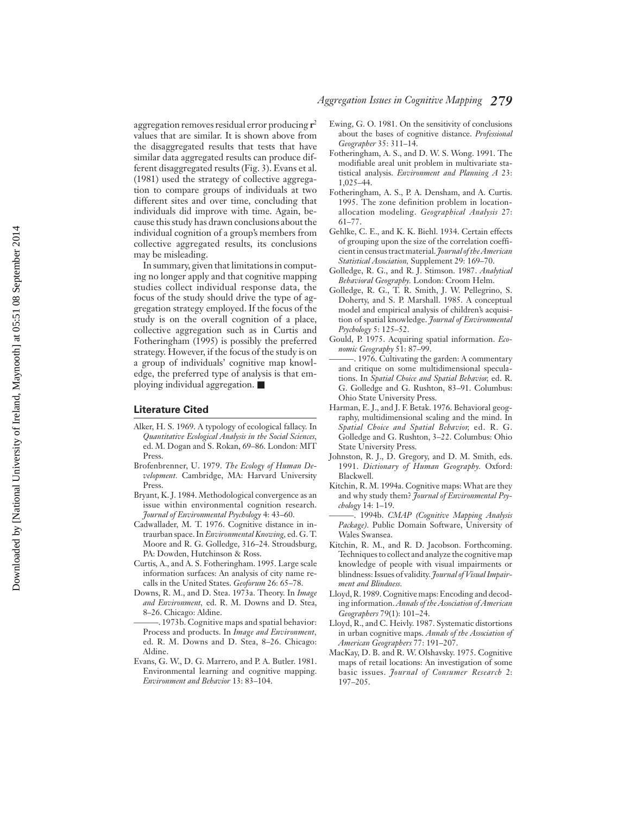aggregation removes residual error producing **r**<sup>2</sup> values that are similar. It is shown above from the disaggregated results that tests that have similar data aggregated results can produce different disaggregated results (Fig. 3). Evans et al. (1981) used the strategy of collective aggregation to compare groups of individuals at two different sites and over time, concluding that individuals did improve with time. Again, because this study has drawn conclusions about the individual cognition of a group's members from collective aggregated results, its conclusions may be misleading.

In summary, given that limitations in computing no longer apply and that cognitive mapping studies collect individual response data, the focus of the study should drive the type of aggregation strategy employed. If the focus of the study is on the overall cognition of a place, collective aggregation such as in Curtis and Fotheringham (1995) is possibly the preferred strategy. However, if the focus of the study is on a group of individuals' cognitive map knowledge, the preferred type of analysis is that employing individual aggregation. ■

#### **Literature Cited**

- Alker, H. S. 1969. A typology of ecological fallacy. In *Quantitative Ecological Analysis in the Social Sciences,* ed. M. Dogan and S. Rokan, 69–86. London: MIT Press.
- Brofenbrenner, U. 1979. *The Ecology of Human Development.* Cambridge, MA: Harvard University Press.
- Bryant, K. J. 1984. Methodological convergence as an issue within environmental cognition research. *Journal of Environmental Psychology* 4: 43–60.
- Cadwallader, M. T. 1976. Cognitive distance in intraurban space. In *Environmental Knowing,* ed. G. T. Moore and R. G. Golledge, 316–24. Stroudsburg, PA: Dowden, Hutchinson & Ross.
- Curtis, A., and A. S. Fotheringham. 1995. Large scale information surfaces: An analysis of city name recalls in the United States. *Geoforum* 26: 65–78.
- Downs, R. M., and D. Stea. 1973a. Theory. In *Image and Environment,* ed. R. M. Downs and D. Stea, 8–26. Chicago: Aldine.
- ———. 1973b. Cognitive maps and spatial behavior: Process and products. In *Image and Environment,* ed. R. M. Downs and D. Stea, 8–26. Chicago: Aldine.
- Evans, G. W., D. G. Marrero, and P. A. Butler. 1981. Environmental learning and cognitive mapping. *Environment and Behavior* 13: 83–104.
- Ewing, G. O. 1981. On the sensitivity of conclusions about the bases of cognitive distance. *Professional Geographer* 35: 311–14.
- Fotheringham, A. S., and D. W. S. Wong. 1991. The modifiable areal unit problem in multivariate statistical analysis. *Environment and Planning A* 23: 1,025–44.
- Fotheringham, A. S., P. A. Densham, and A. Curtis. 1995. The zone definition problem in locationallocation modeling. *Geographical Analysis* 27: 61–77.
- Gehlke, C. E., and K. K. Biehl. 1934. Certain effects of grouping upon the size of the correlation coefficient in census tractmaterial. *Journal of the American Statistical Association,* Supplement 29: 169–70.
- Golledge, R. G., and R. J. Stimson. 1987. *Analytical Behavioral Geography.* London: Croom Helm.
- Golledge, R. G., T. R. Smith, J. W. Pellegrino, S. Doherty, and S. P. Marshall. 1985. A conceptual model and empirical analysis of children's acquisition of spatial knowledge. *Journal of Environmental Psychology* 5: 125–52.
- Gould, P. 1975. Acquiring spatial information. *Economic Geography* 51: 87–99.
- ———. 1976. Cultivating the garden: A commentary and critique on some multidimensional speculations. In *Spatial Choice and Spatial Behavior,* ed. R. G. Golledge and G. Rushton, 83–91. Columbus: Ohio State University Press.
- Harman, E. J., and J. F. Betak. 1976. Behavioral geography, multidimensional scaling and the mind. In *Spatial Choice and Spatial Behavior,* ed. R. G. Golledge and G. Rushton, 3–22. Columbus: Ohio State University Press.
- Johnston, R. J., D. Gregory, and D. M. Smith, eds. 1991. *Dictionary of Human Geography.* Oxford: Blackwell.
- Kitchin, R. M. 1994a. Cognitive maps: What are they and why study them? *Journal of Environmental Psychology* 14: 1–19.
- ———. 1994b. *CMAP (Cognitive Mapping Analysis Package).* Public Domain Software, University of Wales Swansea.
- Kitchin, R. M., and R. D. Jacobson. Forthcoming. Techniques to collect and analyze the cognitive map knowledge of people with visual impairments or blindness: Issues of validity. *Journal of Visual Impairment and Blindness.*
- Lloyd, R. 1989. Cognitive maps: Encoding and decoding information.*Annals of the Association of American Geographers* 79(1): 101–24.
- Lloyd, R., and C. Heivly. 1987. Systematic distortions in urban cognitive maps. *Annals of the Association of American Geographers* 77: 191–207.
- MacKay, D. B. and R. W. Olshavsky. 1975. Cognitive maps of retail locations: An investigation of some basic issues. *Journal of Consumer Research* 2: 197–205.